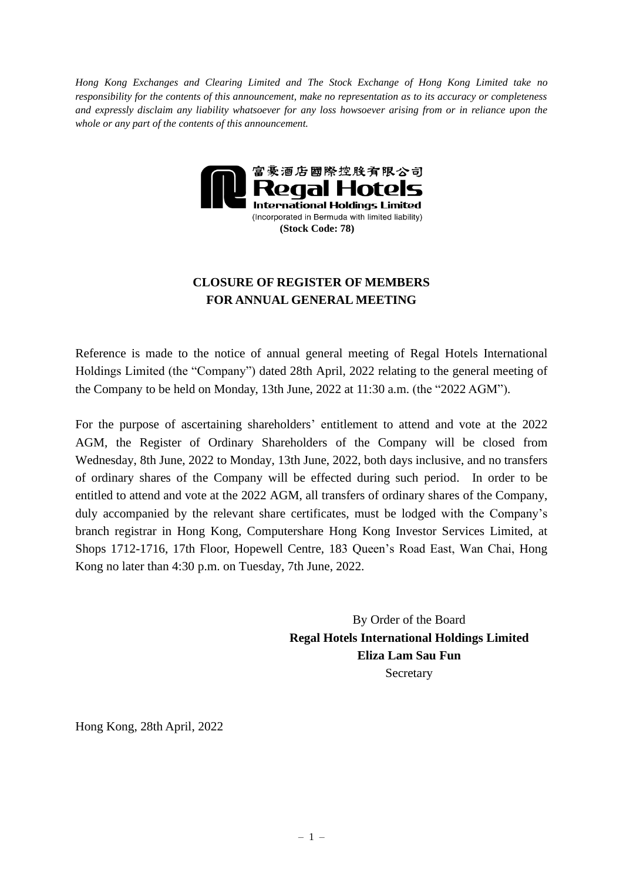*Hong Kong Exchanges and Clearing Limited and The Stock Exchange of Hong Kong Limited take no responsibility for the contents of this announcement, make no representation as to its accuracy or completeness and expressly disclaim any liability whatsoever for any loss howsoever arising from or in reliance upon the whole or any part of the contents of this announcement.*



## **CLOSURE OF REGISTER OF MEMBERS FOR ANNUAL GENERAL MEETING**

Reference is made to the notice of annual general meeting of Regal Hotels International Holdings Limited (the "Company") dated 28th April, 2022 relating to the general meeting of the Company to be held on Monday, 13th June, 2022 at 11:30 a.m. (the "2022 AGM").

For the purpose of ascertaining shareholders' entitlement to attend and vote at the 2022 AGM, the Register of Ordinary Shareholders of the Company will be closed from Wednesday, 8th June, 2022 to Monday, 13th June, 2022, both days inclusive, and no transfers of ordinary shares of the Company will be effected during such period. In order to be entitled to attend and vote at the 2022 AGM, all transfers of ordinary shares of the Company, duly accompanied by the relevant share certificates, must be lodged with the Company's branch registrar in Hong Kong, Computershare Hong Kong Investor Services Limited, at Shops 1712-1716, 17th Floor, Hopewell Centre, 183 Queen's Road East, Wan Chai, Hong Kong no later than 4:30 p.m. on Tuesday, 7th June, 2022.

> By Order of the Board **Regal Hotels International Holdings Limited Eliza Lam Sau Fun Secretary**

Hong Kong, 28th April, 2022